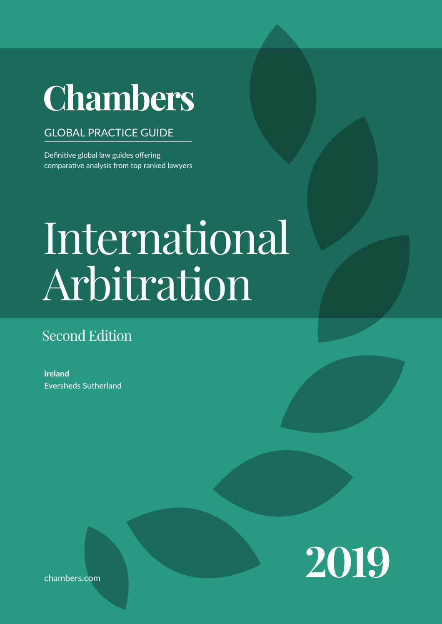# **Chambers**

# GLOBAL PRACTICE GUIDE

Definitive global law guides offering comparative analysis from top ranked lawyers

# Contributed by Eversheds Sutherland  $\Omega$  $\Delta$ legal system when conducting business in the jurisdic-International Law Arbitration

# Second Edition

**Ireland** Eversheds Sutherland



chambers.com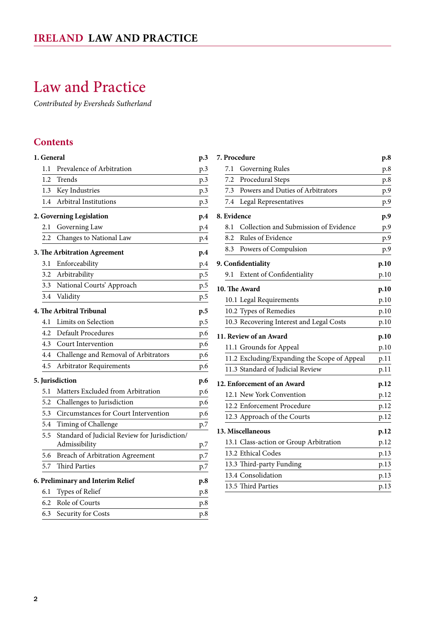# <span id="page-1-0"></span>Law and Practice

*Contributed by Eversheds Sutherland*

# **Contents**

| 1. General      |                                                                | p.3 |
|-----------------|----------------------------------------------------------------|-----|
| 1.1             | Prevalence of Arbitration                                      | p.3 |
| 1.2             | Trends                                                         | p.3 |
| 1.3             | Key Industries                                                 | p.3 |
| 1.4             | Arbitral Institutions                                          | p.3 |
|                 | 2. Governing Legislation                                       | p.4 |
| 2.1             | Governing Law                                                  | p.4 |
| 2.2             | Changes to National Law                                        | p.4 |
|                 | 3. The Arbitration Agreement                                   | p.4 |
| 3.1             | Enforceability                                                 | p.4 |
| 3.2             | Arbitrability                                                  | p.5 |
| 3.3             | National Courts' Approach                                      | p.5 |
| 3.4             | Validity                                                       | p.5 |
|                 | <b>4. The Arbitral Tribunal</b>                                | p.5 |
| 4.1             | Limits on Selection                                            | p.5 |
| 4.2             | <b>Default Procedures</b>                                      | p.6 |
| 4.3             | Court Intervention                                             | p.6 |
| 4.4             | Challenge and Removal of Arbitrators                           | p.6 |
| 4.5             | <b>Arbitrator Requirements</b>                                 | p.6 |
| 5. Jurisdiction |                                                                | p.6 |
| 5.1             | Matters Excluded from Arbitration                              | p.6 |
| 5.2             | Challenges to Jurisdiction                                     | p.6 |
| 5.3             | Circumstances for Court Intervention                           | p.6 |
| 5.4             | Timing of Challenge                                            | p.7 |
| 5.5             | Standard of Judicial Review for Jurisdiction/<br>Admissibility | p.7 |
| 5.6             | Breach of Arbitration Agreement                                | p.7 |
| 5.7             | <b>Third Parties</b>                                           | p.7 |
|                 | 6. Preliminary and Interim Relief                              | p.8 |
| 6.1             | Types of Relief                                                | p.8 |
| 6.2             | Role of Courts                                                 | p.8 |
| 6.3             | Security for Costs                                             | p.8 |

| 7. Procedure                |                                              | p.8  |
|-----------------------------|----------------------------------------------|------|
| 7.1                         | Governing Rules                              | p.8  |
| 7.2                         | Procedural Steps                             | p.8  |
| 7.3                         | Powers and Duties of Arbitrators             | p.9  |
| 7.4                         | Legal Representatives                        | p.9  |
| 8. Evidence                 |                                              | p.9  |
| 8.1                         | Collection and Submission of Evidence        | p.9  |
| 8.2                         | Rules of Evidence                            | p.9  |
| 8.3                         | Powers of Compulsion                         | p.9  |
| 9. Confidentiality          |                                              | p.10 |
| 9.1                         | Extent of Confidentiality                    | p.10 |
| 10. The Award               |                                              | p.10 |
|                             | 10.1 Legal Requirements                      | p.10 |
|                             | 10.2 Types of Remedies                       | p.10 |
|                             | 10.3 Recovering Interest and Legal Costs     | p.10 |
| 11. Review of an Award      |                                              | p.10 |
|                             | 11.1 Grounds for Appeal                      | p.10 |
|                             | 11.2 Excluding/Expanding the Scope of Appeal | p.11 |
|                             | 11.3 Standard of Judicial Review             | p.11 |
| 12. Enforcement of an Award |                                              | p.12 |
|                             | 12.1 New York Convention                     | p.12 |
|                             | 12.2 Enforcement Procedure                   | p.12 |
|                             | 12.3 Approach of the Courts                  | p.12 |
| 13. Miscellaneous           |                                              |      |
|                             | 13.1 Class-action or Group Arbitration       | p.12 |
|                             | 13.2 Ethical Codes                           | p.13 |
|                             | 13.3 Third-party Funding                     | p.13 |
|                             | 13.4 Consolidation                           | p.13 |
|                             | 13.5 Third Parties                           | p.13 |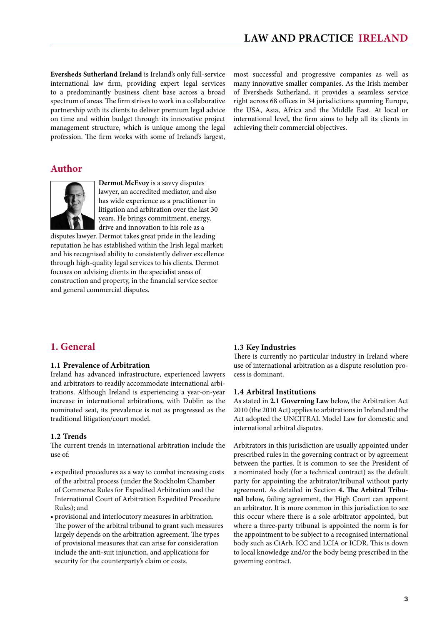<span id="page-2-0"></span>**Eversheds Sutherland Ireland** is Ireland's only full-service international law firm, providing expert legal services to a predominantly business client base across a broad spectrum of areas. The firm strives to work in a collaborative partnership with its clients to deliver premium legal advice on time and within budget through its innovative project management structure, which is unique among the legal profession. The firm works with some of Ireland's largest, most successful and progressive companies as well as many innovative smaller companies. As the Irish member of Eversheds Sutherland, it provides a seamless service right across 68 offices in 34 jurisdictions spanning Europe, the USA, Asia, Africa and the Middle East. At local or international level, the firm aims to help all its clients in achieving their commercial objectives.

# **Author**



**Dermot McEvoy** is a savvy disputes lawyer, an accredited mediator, and also has wide experience as a practitioner in litigation and arbitration over the last 30 years. He brings commitment, energy, drive and innovation to his role as a

disputes lawyer. Dermot takes great pride in the leading reputation he has established within the Irish legal market; and his recognised ability to consistently deliver excellence through high-quality legal services to his clients. Dermot focuses on advising clients in the specialist areas of construction and property, in the financial service sector and general commercial disputes.

# cess is dominant. **1.4 Arbitral Institutions**

**1.3 Key Industries**

As stated in **2.1 Governing Law** below, the Arbitration Act 2010 (the 2010 Act) applies to arbitrations in Ireland and the Act adopted the UNCITRAL Model Law for domestic and international arbitral disputes.

There is currently no particular industry in Ireland where use of international arbitration as a dispute resolution pro-

Arbitrators in this jurisdiction are usually appointed under prescribed rules in the governing contract or by agreement between the parties. It is common to see the President of a nominated body (for a technical contract) as the default party for appointing the arbitrator/tribunal without party agreement. As detailed in Section **4. The Arbitral Tribunal** below, failing agreement, the High Court can appoint an arbitrator. It is more common in this jurisdiction to see this occur where there is a sole arbitrator appointed, but where a three-party tribunal is appointed the norm is for the appointment to be subject to a recognised international body such as CiArb, ICC and LCIA or ICDR. This is down to local knowledge and/or the body being prescribed in the governing contract.

# **1. General**

#### **1.1 Prevalence of Arbitration**

Ireland has advanced infrastructure, experienced lawyers and arbitrators to readily accommodate international arbitrations. Although Ireland is experiencing a year-on-year increase in international arbitrations, with Dublin as the nominated seat, its prevalence is not as progressed as the traditional litigation/court model.

#### **1.2 Trends**

The current trends in international arbitration include the use of:

- • expedited procedures as a way to combat increasing costs of the arbitral process (under the Stockholm Chamber of Commerce Rules for Expedited Arbitration and the International Court of Arbitration Expedited Procedure Rules); and
- • provisional and interlocutory measures in arbitration. The power of the arbitral tribunal to grant such measures largely depends on the arbitration agreement. The types of provisional measures that can arise for consideration include the anti-suit injunction, and applications for security for the counterparty's claim or costs.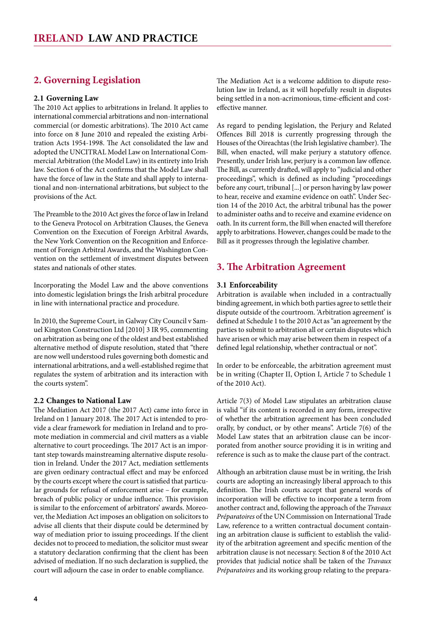# <span id="page-3-0"></span>**2. Governing Legislation**

#### **2.1 Governing Law**

The 2010 Act applies to arbitrations in Ireland. It applies to international commercial arbitrations and non-international commercial (or domestic arbitrations). The 2010 Act came into force on 8 June 2010 and repealed the existing Arbitration Acts 1954-1998. The Act consolidated the law and adopted the UNCITRAL Model Law on International Commercial Arbitration (the Model Law) in its entirety into Irish law. Section 6 of the Act confirms that the Model Law shall have the force of law in the State and shall apply to international and non-international arbitrations, but subject to the provisions of the Act.

The Preamble to the 2010 Act gives the force of law in Ireland to the Geneva Protocol on Arbitration Clauses, the Geneva Convention on the Execution of Foreign Arbitral Awards, the New York Convention on the Recognition and Enforcement of Foreign Arbitral Awards, and the Washington Convention on the settlement of investment disputes between states and nationals of other states.

Incorporating the Model Law and the above conventions into domestic legislation brings the Irish arbitral procedure in line with international practice and procedure.

In 2010, the Supreme Court, in Galway City Council v Samuel Kingston Construction Ltd [2010] 3 IR 95, commenting on arbitration as being one of the oldest and best established alternative method of dispute resolution, stated that "there are now well understood rules governing both domestic and international arbitrations, and a well-established regime that regulates the system of arbitration and its interaction with the courts system".

#### **2.2 Changes to National Law**

The Mediation Act 2017 (the 2017 Act) came into force in Ireland on 1 January 2018. The 2017 Act is intended to provide a clear framework for mediation in Ireland and to promote mediation in commercial and civil matters as a viable alternative to court proceedings. The 2017 Act is an important step towards mainstreaming alternative dispute resolution in Ireland. Under the 2017 Act, mediation settlements are given ordinary contractual effect and may be enforced by the courts except where the court is satisfied that particular grounds for refusal of enforcement arise – for example, breach of public policy or undue influence. This provision is similar to the enforcement of arbitrators' awards. Moreover, the Mediation Act imposes an obligation on solicitors to advise all clients that their dispute could be determined by way of mediation prior to issuing proceedings. If the client decides not to proceed to mediation, the solicitor must swear a statutory declaration confirming that the client has been advised of mediation. If no such declaration is supplied, the court will adjourn the case in order to enable compliance.

The Mediation Act is a welcome addition to dispute resolution law in Ireland, as it will hopefully result in disputes being settled in a non-acrimonious, time-efficient and costeffective manner.

As regard to pending legislation, the Perjury and Related Offences Bill 2018 is currently progressing through the Houses of the Oireachtas (the Irish legislative chamber). The Bill, when enacted, will make perjury a statutory offence. Presently, under Irish law, perjury is a common law offence. The Bill, as currently drafted, will apply to "judicial and other proceedings", which is defined as including "proceedings before any court, tribunal [...] or person having by law power to hear, receive and examine evidence on oath". Under Section 14 of the 2010 Act, the arbitral tribunal has the power to administer oaths and to receive and examine evidence on oath. In its current form, the Bill when enacted will therefore apply to arbitrations. However, changes could be made to the Bill as it progresses through the legislative chamber.

# **3. The Arbitration Agreement**

#### **3.1 Enforceability**

Arbitration is available when included in a contractually binding agreement, in which both parties agree to settle their dispute outside of the courtroom. 'Arbitration agreement' is defined at Schedule 1 to the 2010 Act as "an agreement by the parties to submit to arbitration all or certain disputes which have arisen or which may arise between them in respect of a defined legal relationship, whether contractual or not".

In order to be enforceable, the arbitration agreement must be in writing (Chapter II, Option I, Article 7 to Schedule 1 of the 2010 Act).

Article 7(3) of Model Law stipulates an arbitration clause is valid "if its content is recorded in any form, irrespective of whether the arbitration agreement has been concluded orally, by conduct, or by other means". Article 7(6) of the Model Law states that an arbitration clause can be incorporated from another source providing it is in writing and reference is such as to make the clause part of the contract.

Although an arbitration clause must be in writing, the Irish courts are adopting an increasingly liberal approach to this definition. The Irish courts accept that general words of incorporation will be effective to incorporate a term from another contract and, following the approach of the *Travaux Préparatoires* of the UN Commission on International Trade Law, reference to a written contractual document containing an arbitration clause is sufficient to establish the validity of the arbitration agreement and specific mention of the arbitration clause is not necessary. Section 8 of the 2010 Act provides that judicial notice shall be taken of the *Travaux Préparatoires* and its working group relating to the prepara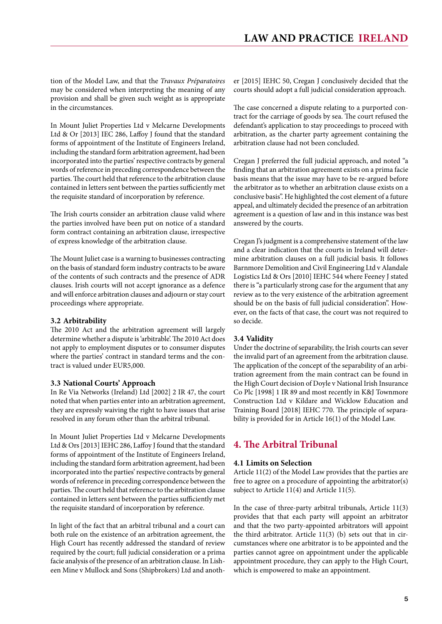<span id="page-4-0"></span>tion of the Model Law, and that the *Travaux Préparatoires* may be considered when interpreting the meaning of any provision and shall be given such weight as is appropriate in the circumstances.

In Mount Juliet Properties Ltd v Melcarne Developments Ltd & Or [2013] IEC 286, Laffoy J found that the standard forms of appointment of the Institute of Engineers Ireland, including the standard form arbitration agreement, had been incorporated into the parties' respective contracts by general words of reference in preceding correspondence between the parties. The court held that reference to the arbitration clause contained in letters sent between the parties sufficiently met the requisite standard of incorporation by reference.

The Irish courts consider an arbitration clause valid where the parties involved have been put on notice of a standard form contract containing an arbitration clause, irrespective of express knowledge of the arbitration clause.

The Mount Juliet case is a warning to businesses contracting on the basis of standard form industry contracts to be aware of the contents of such contracts and the presence of ADR clauses. Irish courts will not accept ignorance as a defence and will enforce arbitration clauses and adjourn or stay court proceedings where appropriate.

#### **3.2 Arbitrability**

The 2010 Act and the arbitration agreement will largely determine whether a dispute is 'arbitrable'. The 2010 Act does not apply to employment disputes or to consumer disputes where the parties' contract in standard terms and the contract is valued under EUR5,000.

#### **3.3 National Courts' Approach**

In Re Via Networks (Ireland) Ltd [2002] 2 IR 47, the court noted that when parties enter into an arbitration agreement, they are expressly waiving the right to have issues that arise resolved in any forum other than the arbitral tribunal.

In Mount Juliet Properties Ltd v Melcarne Developments Ltd & Ors [2013] IEHC 286, Laffoy J found that the standard forms of appointment of the Institute of Engineers Ireland, including the standard form arbitration agreement, had been incorporated into the parties' respective contracts by general words of reference in preceding correspondence between the parties. The court held that reference to the arbitration clause contained in letters sent between the parties sufficiently met the requisite standard of incorporation by reference.

In light of the fact that an arbitral tribunal and a court can both rule on the existence of an arbitration agreement, the High Court has recently addressed the standard of review required by the court; full judicial consideration or a prima facie analysis of the presence of an arbitration clause. In Lisheen Mine v Mullock and Sons (Shipbrokers) Ltd and anoth-

er [2015] IEHC 50, Cregan J conclusively decided that the courts should adopt a full judicial consideration approach.

The case concerned a dispute relating to a purported contract for the carriage of goods by sea. The court refused the defendant's application to stay proceedings to proceed with arbitration, as the charter party agreement containing the arbitration clause had not been concluded.

Cregan J preferred the full judicial approach, and noted "a finding that an arbitration agreement exists on a prima facie basis means that the issue may have to be re-argued before the arbitrator as to whether an arbitration clause exists on a conclusive basis". He highlighted the cost element of a future appeal, and ultimately decided the presence of an arbitration agreement is a question of law and in this instance was best answered by the courts.

Cregan J's judgment is a comprehensive statement of the law and a clear indication that the courts in Ireland will determine arbitration clauses on a full judicial basis. It follows Barnmore Demolition and Civil Engineering Ltd v Alandale Logistics Ltd & Ors [2010] IEHC 544 where Feeney J stated there is "a particularly strong case for the argument that any review as to the very existence of the arbitration agreement should be on the basis of full judicial consideration". However, on the facts of that case, the court was not required to so decide.

#### **3.4 Validity**

Under the doctrine of separability, the Irish courts can sever the invalid part of an agreement from the arbitration clause. The application of the concept of the separability of an arbitration agreement from the main contract can be found in the High Court decision of Doyle v National Irish Insurance Co Plc [1998] 1 IR 89 and most recently in K&J Townmore Construction Ltd v Kildare and Wicklow Education and Training Board [2018] IEHC 770. The principle of separability is provided for in Article 16(1) of the Model Law.

# **4. The Arbitral Tribunal**

#### **4.1 Limits on Selection**

Article 11(2) of the Model Law provides that the parties are free to agree on a procedure of appointing the arbitrator(s) subject to Article 11(4) and Article 11(5).

In the case of three-party arbitral tribunals, Article 11(3) provides that that each party will appoint an arbitrator and that the two party-appointed arbitrators will appoint the third arbitrator. Article 11(3) (b) sets out that in circumstances where one arbitrator is to be appointed and the parties cannot agree on appointment under the applicable appointment procedure, they can apply to the High Court, which is empowered to make an appointment.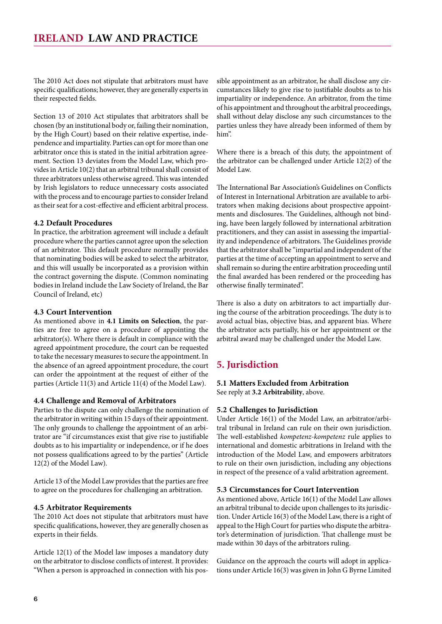<span id="page-5-0"></span>The 2010 Act does not stipulate that arbitrators must have specific qualifications; however, they are generally experts in their respected fields.

Section 13 of 2010 Act stipulates that arbitrators shall be chosen (by an institutional body or, failing their nomination, by the High Court) based on their relative expertise, independence and impartiality. Parties can opt for more than one arbitrator once this is stated in the initial arbitration agreement. Section 13 deviates from the Model Law, which provides in Article 10(2) that an arbitral tribunal shall consist of three arbitrators unless otherwise agreed. This was intended by Irish legislators to reduce unnecessary costs associated with the process and to encourage parties to consider Ireland as their seat for a cost-effective and efficient arbitral process.

#### **4.2 Default Procedures**

In practice, the arbitration agreement will include a default procedure where the parties cannot agree upon the selection of an arbitrator. This default procedure normally provides that nominating bodies will be asked to select the arbitrator, and this will usually be incorporated as a provision within the contract governing the dispute. (Common nominating bodies in Ireland include the Law Society of Ireland, the Bar Council of Ireland, etc)

#### **4.3 Court Intervention**

As mentioned above in **4.1 Limits on Selection**, the parties are free to agree on a procedure of appointing the arbitrator(s). Where there is default in compliance with the agreed appointment procedure, the court can be requested to take the necessary measures to secure the appointment. In the absence of an agreed appointment procedure, the court can order the appointment at the request of either of the parties (Article 11(3) and Article 11(4) of the Model Law).

#### **4.4 Challenge and Removal of Arbitrators**

Parties to the dispute can only challenge the nomination of the arbitrator in writing within 15 days of their appointment. The only grounds to challenge the appointment of an arbitrator are "if circumstances exist that give rise to justifiable doubts as to his impartiality or independence, or if he does not possess qualifications agreed to by the parties" (Article 12(2) of the Model Law).

Article 13 of the Model Law provides that the parties are free to agree on the procedures for challenging an arbitration.

#### **4.5 Arbitrator Requirements**

The 2010 Act does not stipulate that arbitrators must have specific qualifications, however, they are generally chosen as experts in their fields.

Article 12(1) of the Model law imposes a mandatory duty on the arbitrator to disclose conflicts of interest. It provides: "When a person is approached in connection with his possible appointment as an arbitrator, he shall disclose any circumstances likely to give rise to justifiable doubts as to his impartiality or independence. An arbitrator, from the time of his appointment and throughout the arbitral proceedings, shall without delay disclose any such circumstances to the parties unless they have already been informed of them by him".

Where there is a breach of this duty, the appointment of the arbitrator can be challenged under Article 12(2) of the Model Law.

The International Bar Association's Guidelines on Conflicts of Interest in International Arbitration are available to arbitrators when making decisions about prospective appointments and disclosures. The Guidelines, although not binding, have been largely followed by international arbitration practitioners, and they can assist in assessing the impartiality and independence of arbitrators. The Guidelines provide that the arbitrator shall be "impartial and independent of the parties at the time of accepting an appointment to serve and shall remain so during the entire arbitration proceeding until the final awarded has been rendered or the proceeding has otherwise finally terminated".

There is also a duty on arbitrators to act impartially during the course of the arbitration proceedings. The duty is to avoid actual bias, objective bias, and apparent bias. Where the arbitrator acts partially, his or her appointment or the arbitral award may be challenged under the Model Law.

#### **5. Jurisdiction**

# **5.1 Matters Excluded from Arbitration**

See reply at **3.2 Arbitrability**, above.

#### **5.2 Challenges to Jurisdiction**

Under Article 16(1) of the Model Law, an arbitrator/arbitral tribunal in Ireland can rule on their own jurisdiction. The well-established *kompetenz-kompetenz* rule applies to international and domestic arbitrations in Ireland with the introduction of the Model Law, and empowers arbitrators to rule on their own jurisdiction, including any objections in respect of the presence of a valid arbitration agreement.

#### **5.3 Circumstances for Court Intervention**

As mentioned above, Article 16(1) of the Model Law allows an arbitral tribunal to decide upon challenges to its jurisdiction. Under Article 16(3) of the Model Law, there is a right of appeal to the High Court for parties who dispute the arbitrator's determination of jurisdiction. That challenge must be made within 30 days of the arbitrators ruling.

Guidance on the approach the courts will adopt in applications under Article 16(3) was given in John G Byrne Limited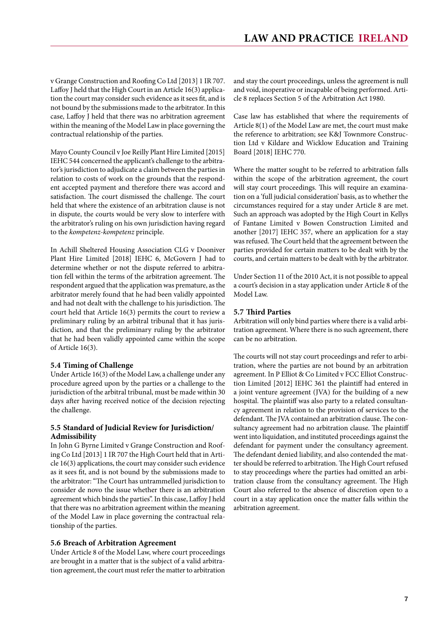<span id="page-6-0"></span>v Grange Construction and Roofing Co Ltd [2013] 1 IR 707. Laffoy J held that the High Court in an Article 16(3) application the court may consider such evidence as it sees fit, and is not bound by the submissions made to the arbitrator. In this case, Laffoy J held that there was no arbitration agreement within the meaning of the Model Law in place governing the contractual relationship of the parties.

Mayo County Council v Joe Reilly Plant Hire Limited [2015] IEHC 544 concerned the applicant's challenge to the arbitrator's jurisdiction to adjudicate a claim between the parties in relation to costs of work on the grounds that the respondent accepted payment and therefore there was accord and satisfaction. The court dismissed the challenge. The court held that where the existence of an arbitration clause is not in dispute, the courts would be very slow to interfere with the arbitrator's ruling on his own jurisdiction having regard to the *kompetenz-kompetenz* principle.

In Achill Sheltered Housing Association CLG v Dooniver Plant Hire Limited [2018] IEHC 6, McGovern J had to determine whether or not the dispute referred to arbitration fell within the terms of the arbitration agreement. The respondent argued that the application was premature, as the arbitrator merely found that he had been validly appointed and had not dealt with the challenge to his jurisdiction. The court held that Article 16(3) permits the court to review a preliminary ruling by an arbitral tribunal that it has jurisdiction, and that the preliminary ruling by the arbitrator that he had been validly appointed came within the scope of Article 16(3).

#### **5.4 Timing of Challenge**

Under Article 16(3) of the Model Law, a challenge under any procedure agreed upon by the parties or a challenge to the jurisdiction of the arbitral tribunal, must be made within 30 days after having received notice of the decision rejecting the challenge.

#### **5.5 Standard of Judicial Review for Jurisdiction/ Admissibility**

In John G Byrne Limited v Grange Construction and Roofing Co Ltd [2013] 1 IR 707 the High Court held that in Article 16(3) applications, the court may consider such evidence as it sees fit, and is not bound by the submissions made to the arbitrator: "The Court has untrammelled jurisdiction to consider de novo the issue whether there is an arbitration agreement which binds the parties". In this case, Laffoy J held that there was no arbitration agreement within the meaning of the Model Law in place governing the contractual relationship of the parties.

#### **5.6 Breach of Arbitration Agreement**

Under Article 8 of the Model Law, where court proceedings are brought in a matter that is the subject of a valid arbitration agreement, the court must refer the matter to arbitration

and stay the court proceedings, unless the agreement is null and void, inoperative or incapable of being performed. Article 8 replaces Section 5 of the Arbitration Act 1980.

Case law has established that where the requirements of Article 8(1) of the Model Law are met, the court must make the reference to arbitration; see K&J Townmore Construction Ltd v Kildare and Wicklow Education and Training Board [2018] IEHC 770.

Where the matter sought to be referred to arbitration falls within the scope of the arbitration agreement, the court will stay court proceedings. This will require an examination on a 'full judicial consideration' basis, as to whether the circumstances required for a stay under Article 8 are met. Such an approach was adopted by the High Court in Kellys of Fantane Limited v Bowen Construction Limited and another [2017] IEHC 357, where an application for a stay was refused. The Court held that the agreement between the parties provided for certain matters to be dealt with by the courts, and certain matters to be dealt with by the arbitrator.

Under Section 11 of the 2010 Act, it is not possible to appeal a court's decision in a stay application under Article 8 of the Model Law.

#### **5.7 Third Parties**

Arbitration will only bind parties where there is a valid arbitration agreement. Where there is no such agreement, there can be no arbitration.

The courts will not stay court proceedings and refer to arbitration, where the parties are not bound by an arbitration agreement. In P Elliot & Co Limited v FCC Elliot Construction Limited [2012] IEHC 361 the plaintiff had entered in a joint venture agreement (JVA) for the building of a new hospital. The plaintiff was also party to a related consultancy agreement in relation to the provision of services to the defendant. The JVA contained an arbitration clause. The consultancy agreement had no arbitration clause. The plaintiff went into liquidation, and instituted proceedings against the defendant for payment under the consultancy agreement. The defendant denied liability, and also contended the matter should be referred to arbitration. The High Court refused to stay proceedings where the parties had omitted an arbitration clause from the consultancy agreement. The High Court also referred to the absence of discretion open to a court in a stay application once the matter falls within the arbitration agreement.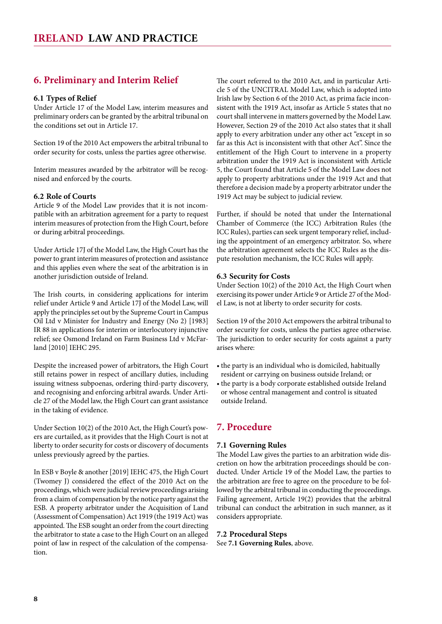# <span id="page-7-0"></span>**6. Preliminary and Interim Relief**

#### **6.1 Types of Relief**

Under Article 17 of the Model Law, interim measures and preliminary orders can be granted by the arbitral tribunal on the conditions set out in Article 17.

Section 19 of the 2010 Act empowers the arbitral tribunal to order security for costs, unless the parties agree otherwise.

Interim measures awarded by the arbitrator will be recognised and enforced by the courts.

#### **6.2 Role of Courts**

Article 9 of the Model Law provides that it is not incompatible with an arbitration agreement for a party to request interim measures of protection from the High Court, before or during arbitral proceedings.

Under Article 17J of the Model Law, the High Court has the power to grant interim measures of protection and assistance and this applies even where the seat of the arbitration is in another jurisdiction outside of Ireland.

The Irish courts, in considering applications for interim relief under Article 9 and Article 17J of the Model Law, will apply the principles set out by the Supreme Court in Campus Oil Ltd v Minister for Industry and Energy (No 2) [1983] IR 88 in applications for interim or interlocutory injunctive relief; see Osmond Ireland on Farm Business Ltd v McFarland [2010] IEHC 295.

Despite the increased power of arbitrators, the High Court still retains power in respect of ancillary duties, including issuing witness subpoenas, ordering third-party discovery, and recognising and enforcing arbitral awards. Under Article 27 of the Model law, the High Court can grant assistance in the taking of evidence.

Under Section 10(2) of the 2010 Act, the High Court's powers are curtailed, as it provides that the High Court is not at liberty to order security for costs or discovery of documents unless previously agreed by the parties.

In ESB v Boyle & another [2019] IEHC 475, the High Court (Twomey J) considered the effect of the 2010 Act on the proceedings, which were judicial review proceedings arising from a claim of compensation by the notice party against the ESB. A property arbitrator under the Acquisition of Land (Assessment of Compensation) Act 1919 (the 1919 Act) was appointed. The ESB sought an order from the court directing the arbitrator to state a case to the High Court on an alleged point of law in respect of the calculation of the compensation.

The court referred to the 2010 Act, and in particular Article 5 of the UNCITRAL Model Law, which is adopted into Irish law by Section 6 of the 2010 Act, as prima facie inconsistent with the 1919 Act, insofar as Article 5 states that no court shall intervene in matters governed by the Model Law. However, Section 29 of the 2010 Act also states that it shall apply to every arbitration under any other act "except in so far as this Act is inconsistent with that other Act". Since the entitlement of the High Court to intervene in a property arbitration under the 1919 Act is inconsistent with Article 5, the Court found that Article 5 of the Model Law does not apply to property arbitrations under the 1919 Act and that therefore a decision made by a property arbitrator under the 1919 Act may be subject to judicial review.

Further, if should be noted that under the International Chamber of Commerce (the ICC) Arbitration Rules (the ICC Rules), parties can seek urgent temporary relief, including the appointment of an emergency arbitrator. So, where the arbitration agreement selects the ICC Rules as the dispute resolution mechanism, the ICC Rules will apply.

#### **6.3 Security for Costs**

Under Section 10(2) of the 2010 Act, the High Court when exercising its power under Article 9 or Article 27 of the Model Law, is not at liberty to order security for costs.

Section 19 of the 2010 Act empowers the arbitral tribunal to order security for costs, unless the parties agree otherwise. The jurisdiction to order security for costs against a party arises where:

- the party is an individual who is domiciled, habitually resident or carrying on business outside Ireland; or
- the party is a body corporate established outside Ireland or whose central management and control is situated outside Ireland.

# **7. Procedure**

#### **7.1 Governing Rules**

The Model Law gives the parties to an arbitration wide discretion on how the arbitration proceedings should be conducted. Under Article 19 of the Model Law, the parties to the arbitration are free to agree on the procedure to be followed by the arbitral tribunal in conducting the proceedings. Failing agreement, Article 19(2) provides that the arbitral tribunal can conduct the arbitration in such manner, as it considers appropriate.

**7.2 Procedural Steps** See **7.1 Governing Rules**, above.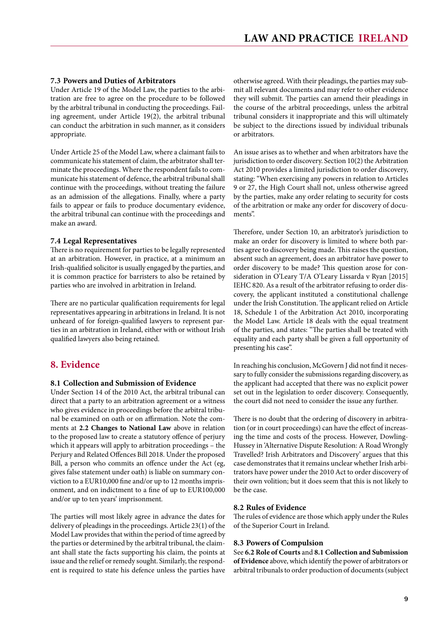#### <span id="page-8-0"></span>**7.3 Powers and Duties of Arbitrators**

Under Article 19 of the Model Law, the parties to the arbitration are free to agree on the procedure to be followed by the arbitral tribunal in conducting the proceedings. Failing agreement, under Article 19(2), the arbitral tribunal can conduct the arbitration in such manner, as it considers appropriate.

Under Article 25 of the Model Law, where a claimant fails to communicate his statement of claim, the arbitrator shall terminate the proceedings. Where the respondent fails to communicate his statement of defence, the arbitral tribunal shall continue with the proceedings, without treating the failure as an admission of the allegations. Finally, where a party fails to appear or fails to produce documentary evidence, the arbitral tribunal can continue with the proceedings and make an award.

#### **7.4 Legal Representatives**

There is no requirement for parties to be legally represented at an arbitration. However, in practice, at a minimum an Irish-qualified solicitor is usually engaged by the parties, and it is common practice for barristers to also be retained by parties who are involved in arbitration in Ireland.

There are no particular qualification requirements for legal representatives appearing in arbitrations in Ireland. It is not unheard of for foreign-qualified lawyers to represent parties in an arbitration in Ireland, either with or without Irish qualified lawyers also being retained.

#### **8. Evidence**

#### **8.1 Collection and Submission of Evidence**

Under Section 14 of the 2010 Act, the arbitral tribunal can direct that a party to an arbitration agreement or a witness who gives evidence in proceedings before the arbitral tribunal be examined on oath or on affirmation. Note the comments at **2.2 Changes to National Law** above in relation to the proposed law to create a statutory offence of perjury which it appears will apply to arbitration proceedings – the Perjury and Related Offences Bill 2018. Under the proposed Bill, a person who commits an offence under the Act (eg, gives false statement under oath) is liable on summary conviction to a EUR10,000 fine and/or up to 12 months imprisonment, and on indictment to a fine of up to EUR100,000 and/or up to ten years' imprisonment.

The parties will most likely agree in advance the dates for delivery of pleadings in the proceedings. Article 23(1) of the Model Law provides that within the period of time agreed by the parties or determined by the arbitral tribunal, the claimant shall state the facts supporting his claim, the points at issue and the relief or remedy sought. Similarly, the respondent is required to state his defence unless the parties have

otherwise agreed. With their pleadings, the parties may submit all relevant documents and may refer to other evidence they will submit. The parties can amend their pleadings in the course of the arbitral proceedings, unless the arbitral tribunal considers it inappropriate and this will ultimately be subject to the directions issued by individual tribunals or arbitrators.

An issue arises as to whether and when arbitrators have the jurisdiction to order discovery. Section 10(2) the Arbitration Act 2010 provides a limited jurisdiction to order discovery, stating: "When exercising any powers in relation to Articles 9 or 27, the High Court shall not, unless otherwise agreed by the parties, make any order relating to security for costs of the arbitration or make any order for discovery of documents".

Therefore, under Section 10, an arbitrator's jurisdiction to make an order for discovery is limited to where both parties agree to discovery being made. This raises the question, absent such an agreement, does an arbitrator have power to order discovery to be made? This question arose for consideration in O'Leary T/A O'Leary Lissarda v Ryan [2015] IEHC 820. As a result of the arbitrator refusing to order discovery, the applicant instituted a constitutional challenge under the Irish Constitution. The applicant relied on Article 18, Schedule 1 of the Arbitration Act 2010, incorporating the Model Law. Article 18 deals with the equal treatment of the parties, and states: "The parties shall be treated with equality and each party shall be given a full opportunity of presenting his case".

In reaching his conclusion, McGovern J did not find it necessary to fully consider the submissions regarding discovery, as the applicant had accepted that there was no explicit power set out in the legislation to order discovery. Consequently, the court did not need to consider the issue any further.

There is no doubt that the ordering of discovery in arbitration (or in court proceedings) can have the effect of increasing the time and costs of the process. However, Dowling-Hussey in 'Alternative Dispute Resolution: A Road Wrongly Travelled? Irish Arbitrators and Discovery' argues that this case demonstrates that it remains unclear whether Irish arbitrators have power under the 2010 Act to order discovery of their own volition; but it does seem that this is not likely to be the case.

#### **8.2 Rules of Evidence**

The rules of evidence are those which apply under the Rules of the Superior Court in Ireland.

#### **8.3 Powers of Compulsion**

See **6.2 Role of Courts** and **8.1 Collection and Submission of Evidence** above, which identify the power of arbitrators or arbitral tribunals to order production of documents (subject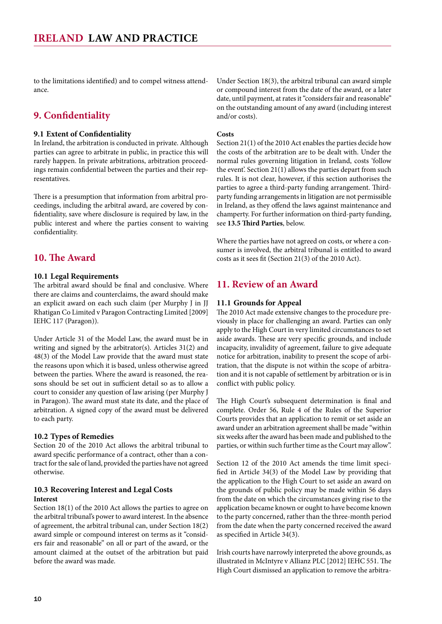<span id="page-9-0"></span>to the limitations identified) and to compel witness attendance.

# **9. Confidentiality**

#### **9.1 Extent of Confidentiality**

In Ireland, the arbitration is conducted in private. Although parties can agree to arbitrate in public, in practice this will rarely happen. In private arbitrations, arbitration proceedings remain confidential between the parties and their representatives.

There is a presumption that information from arbitral proceedings, including the arbitral award, are covered by confidentiality, save where disclosure is required by law, in the public interest and where the parties consent to waiving confidentiality.

# **10. The Award**

#### **10.1 Legal Requirements**

The arbitral award should be final and conclusive. Where there are claims and counterclaims, the award should make an explicit award on each such claim (per Murphy J in JJ Rhatigan Co Limited v Paragon Contracting Limited [2009] IEHC 117 (Paragon)).

Under Article 31 of the Model Law, the award must be in writing and signed by the arbitrator(s). Articles 31(2) and 48(3) of the Model Law provide that the award must state the reasons upon which it is based, unless otherwise agreed between the parties. Where the award is reasoned, the reasons should be set out in sufficient detail so as to allow a court to consider any question of law arising (per Murphy J in Paragon). The award must state its date, and the place of arbitration. A signed copy of the award must be delivered to each party.

#### **10.2 Types of Remedies**

Section 20 of the 2010 Act allows the arbitral tribunal to award specific performance of a contract, other than a contract for the sale of land, provided the parties have not agreed otherwise.

#### **10.3 Recovering Interest and Legal Costs Interest**

Section 18(1) of the 2010 Act allows the parties to agree on the arbitral tribunal's power to award interest. In the absence of agreement, the arbitral tribunal can, under Section 18(2) award simple or compound interest on terms as it "considers fair and reasonable" on all or part of the award, or the amount claimed at the outset of the arbitration but paid before the award was made.

Under Section 18(3), the arbitral tribunal can award simple or compound interest from the date of the award, or a later date, until payment, at rates it "considers fair and reasonable" on the outstanding amount of any award (including interest and/or costs).

#### **Costs**

Section 21(1) of the 2010 Act enables the parties decide how the costs of the arbitration are to be dealt with. Under the normal rules governing litigation in Ireland, costs 'follow the event'. Section 21(1) allows the parties depart from such rules. It is not clear, however, if this section authorises the parties to agree a third-party funding arrangement. Thirdparty funding arrangements in litigation are not permissible in Ireland, as they offend the laws against maintenance and champerty. For further information on third-party funding, see **13.5 Third Parties**, below.

Where the parties have not agreed on costs, or where a consumer is involved, the arbitral tribunal is entitled to award costs as it sees fit (Section 21(3) of the 2010 Act).

# **11. Review of an Award**

#### **11.1 Grounds for Appeal**

The 2010 Act made extensive changes to the procedure previously in place for challenging an award. Parties can only apply to the High Court in very limited circumstances to set aside awards. These are very specific grounds, and include incapacity, invalidity of agreement, failure to give adequate notice for arbitration, inability to present the scope of arbitration, that the dispute is not within the scope of arbitration and it is not capable of settlement by arbitration or is in conflict with public policy.

The High Court's subsequent determination is final and complete. Order 56, Rule 4 of the Rules of the Superior Courts provides that an application to remit or set aside an award under an arbitration agreement shall be made "within six weeks after the award has been made and published to the parties, or within such further time as the Court may allow".

Section 12 of the 2010 Act amends the time limit specified in Article 34(3) of the Model Law by providing that the application to the High Court to set aside an award on the grounds of public policy may be made within 56 days from the date on which the circumstances giving rise to the application became known or ought to have become known to the party concerned, rather than the three-month period from the date when the party concerned received the award as specified in Article 34(3).

Irish courts have narrowly interpreted the above grounds, as illustrated in McIntyre v Allianz PLC [2012] IEHC 551. The High Court dismissed an application to remove the arbitra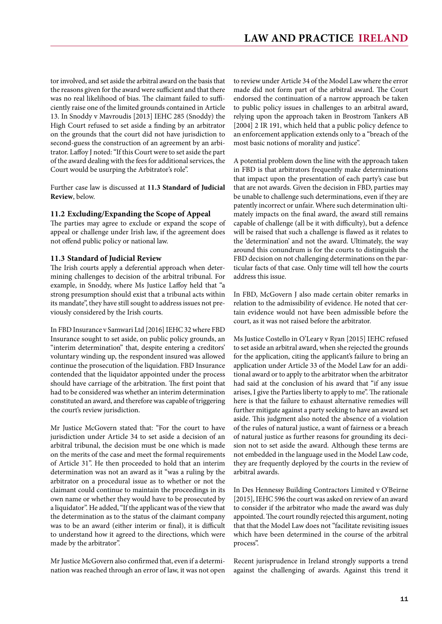<span id="page-10-0"></span>tor involved, and set aside the arbitral award on the basis that the reasons given for the award were sufficient and that there was no real likelihood of bias. The claimant failed to sufficiently raise one of the limited grounds contained in Article 13. In Snoddy v Mavroudis [2013] IEHC 285 (Snoddy) the High Court refused to set aside a finding by an arbitrator on the grounds that the court did not have jurisdiction to second-guess the construction of an agreement by an arbitrator. Laffoy J noted: "If this Court were to set aside the part of the award dealing with the fees for additional services, the Court would be usurping the Arbitrator's role".

Further case law is discussed at **11.3 Standard of Judicial Review**, below.

#### **11.2 Excluding/Expanding the Scope of Appeal**

The parties may agree to exclude or expand the scope of appeal or challenge under Irish law, if the agreement does not offend public policy or national law.

#### **11.3 Standard of Judicial Review**

The Irish courts apply a deferential approach when determining challenges to decision of the arbitral tribunal. For example, in Snoddy, where Ms Justice Laffoy held that "a strong presumption should exist that a tribunal acts within its mandate", they have still sought to address issues not previously considered by the Irish courts.

In FBD Insurance v Samwari Ltd [2016] IEHC 32 where FBD Insurance sought to set aside, on public policy grounds, an "interim determination" that, despite entering a creditors' voluntary winding up, the respondent insured was allowed continue the prosecution of the liquidation. FBD Insurance contended that the liquidator appointed under the process should have carriage of the arbitration. The first point that had to be considered was whether an interim determination constituted an award, and therefore was capable of triggering the court's review jurisdiction.

Mr Justice McGovern stated that: "For the court to have jurisdiction under Article 34 to set aside a decision of an arbitral tribunal, the decision must be one which is made on the merits of the case and meet the formal requirements of Article 31". He then proceeded to hold that an interim determination was not an award as it "was a ruling by the arbitrator on a procedural issue as to whether or not the claimant could continue to maintain the proceedings in its own name or whether they would have to be prosecuted by a liquidator". He added, "If the applicant was of the view that the determination as to the status of the claimant company was to be an award (either interim or final), it is difficult to understand how it agreed to the directions, which were made by the arbitrator".

Mr Justice McGovern also confirmed that, even if a determination was reached through an error of law, it was not open to review under Article 34 of the Model Law where the error made did not form part of the arbitral award. The Court endorsed the continuation of a narrow approach be taken to public policy issues in challenges to an arbitral award, relying upon the approach taken in Brostrom Tankers AB [2004] 2 IR 191, which held that a public policy defence to an enforcement application extends only to a "breach of the most basic notions of morality and justice".

A potential problem down the line with the approach taken in FBD is that arbitrators frequently make determinations that impact upon the presentation of each party's case but that are not awards. Given the decision in FBD, parties may be unable to challenge such determinations, even if they are patently incorrect or unfair. Where such determination ultimately impacts on the final award, the award still remains capable of challenge (all be it with difficulty), but a defence will be raised that such a challenge is flawed as it relates to the 'determination' and not the award. Ultimately, the way around this conundrum is for the courts to distinguish the FBD decision on not challenging determinations on the particular facts of that case. Only time will tell how the courts address this issue.

In FBD, McGovern J also made certain obiter remarks in relation to the admissibility of evidence. He noted that certain evidence would not have been admissible before the court, as it was not raised before the arbitrator.

Ms Justice Costello in O'Leary v Ryan [2015] IEHC refused to set aside an arbitral award, when she rejected the grounds for the application, citing the applicant's failure to bring an application under Article 33 of the Model Law for an additional award or to apply to the arbitrator when the arbitrator had said at the conclusion of his award that "if any issue arises, I give the Parties liberty to apply to me". The rationale here is that the failure to exhaust alternative remedies will further mitigate against a party seeking to have an award set aside. This judgment also noted the absence of a violation of the rules of natural justice, a want of fairness or a breach of natural justice as further reasons for grounding its decision not to set aside the award. Although these terms are not embedded in the language used in the Model Law code, they are frequently deployed by the courts in the review of arbitral awards.

In Des Hennessy Building Contractors Limited v O'Beirne [2015], IEHC 596 the court was asked on review of an award to consider if the arbitrator who made the award was duly appointed. The court roundly rejected this argument, noting that that the Model Law does not "facilitate revisiting issues which have been determined in the course of the arbitral process".

Recent jurisprudence in Ireland strongly supports a trend against the challenging of awards. Against this trend it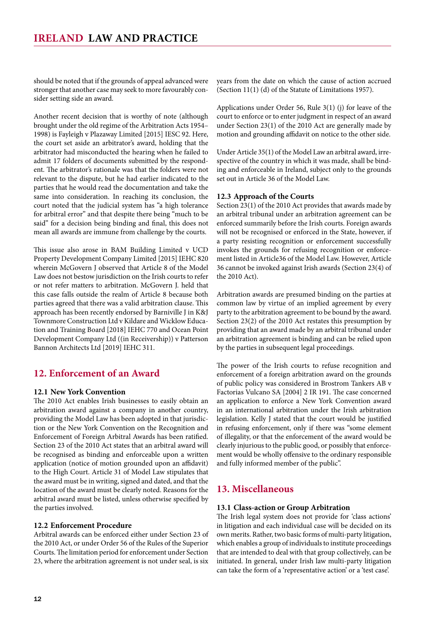<span id="page-11-0"></span>should be noted that if the grounds of appeal advanced were stronger that another case may seek to more favourably consider setting side an award.

Another recent decision that is worthy of note (although brought under the old regime of the Arbitration Acts 1954– 1998) is Fayleigh v Plazaway Limited [2015] IESC 92. Here, the court set aside an arbitrator's award, holding that the arbitrator had misconducted the hearing when he failed to admit 17 folders of documents submitted by the respondent. The arbitrator's rationale was that the folders were not relevant to the dispute, but he had earlier indicated to the parties that he would read the documentation and take the same into consideration. In reaching its conclusion, the court noted that the judicial system has "a high tolerance for arbitral error" and that despite there being "much to be said" for a decision being binding and final, this does not mean all awards are immune from challenge by the courts.

This issue also arose in BAM Building Limited v UCD Property Development Company Limited [2015] IEHC 820 wherein McGovern J observed that Article 8 of the Model Law does not bestow jurisdiction on the Irish courts to refer or not refer matters to arbitration. McGovern J. held that this case falls outside the realm of Article 8 because both parties agreed that there was a valid arbitration clause. This approach has been recently endorsed by Barniville J in K&J Townmore Construction Ltd v Kildare and Wicklow Education and Training Board [2018] IEHC 770 and Ocean Point Development Company Ltd ((in Receivership)) v Patterson Bannon Architects Ltd [2019] IEHC 311.

# **12. Enforcement of an Award**

#### **12.1 New York Convention**

The 2010 Act enables Irish businesses to easily obtain an arbitration award against a company in another country, providing the Model Law has been adopted in that jurisdiction or the New York Convention on the Recognition and Enforcement of Foreign Arbitral Awards has been ratified. Section 23 of the 2010 Act states that an arbitral award will be recognised as binding and enforceable upon a written application (notice of motion grounded upon an affidavit) to the High Court. Article 31 of Model Law stipulates that the award must be in writing, signed and dated, and that the location of the award must be clearly noted. Reasons for the arbitral award must be listed, unless otherwise specified by the parties involved.

#### **12.2 Enforcement Procedure**

Arbitral awards can be enforced either under Section 23 of the 2010 Act, or under Order 56 of the Rules of the Superior Courts. The limitation period for enforcement under Section 23, where the arbitration agreement is not under seal, is six years from the date on which the cause of action accrued (Section 11(1) (d) of the Statute of Limitations 1957).

Applications under Order 56, Rule 3(1) (j) for leave of the court to enforce or to enter judgment in respect of an award under Section 23(1) of the 2010 Act are generally made by motion and grounding affidavit on notice to the other side.

Under Article 35(1) of the Model Law an arbitral award, irrespective of the country in which it was made, shall be binding and enforceable in Ireland, subject only to the grounds set out in Article 36 of the Model Law.

#### **12.3 Approach of the Courts**

Section 23(1) of the 2010 Act provides that awards made by an arbitral tribunal under an arbitration agreement can be enforced summarily before the Irish courts. Foreign awards will not be recognised or enforced in the State, however, if a party resisting recognition or enforcement successfully invokes the grounds for refusing recognition or enforcement listed in Article36 of the Model Law. However, Article 36 cannot be invoked against Irish awards (Section 23(4) of the 2010 Act).

Arbitration awards are presumed binding on the parties at common law by virtue of an implied agreement by every party to the arbitration agreement to be bound by the award. Section 23(2) of the 2010 Act restates this presumption by providing that an award made by an arbitral tribunal under an arbitration agreement is binding and can be relied upon by the parties in subsequent legal proceedings.

The power of the Irish courts to refuse recognition and enforcement of a foreign arbitration award on the grounds of public policy was considered in Brostrom Tankers AB v Factorias Vulcano SA [2004] 2 IR 191. The case concerned an application to enforce a New York Convention award in an international arbitration under the Irish arbitration legislation. Kelly J stated that the court would be justified in refusing enforcement, only if there was "some element of illegality, or that the enforcement of the award would be clearly injurious to the public good, or possibly that enforcement would be wholly offensive to the ordinary responsible and fully informed member of the public".

# **13. Miscellaneous**

#### **13.1 Class-action or Group Arbitration**

The Irish legal system does not provide for 'class actions' in litigation and each individual case will be decided on its own merits. Rather, two basic forms of multi-party litigation, which enables a group of individuals to institute proceedings that are intended to deal with that group collectively, can be initiated. In general, under Irish law multi-party litigation can take the form of a 'representative action' or a 'test case'.